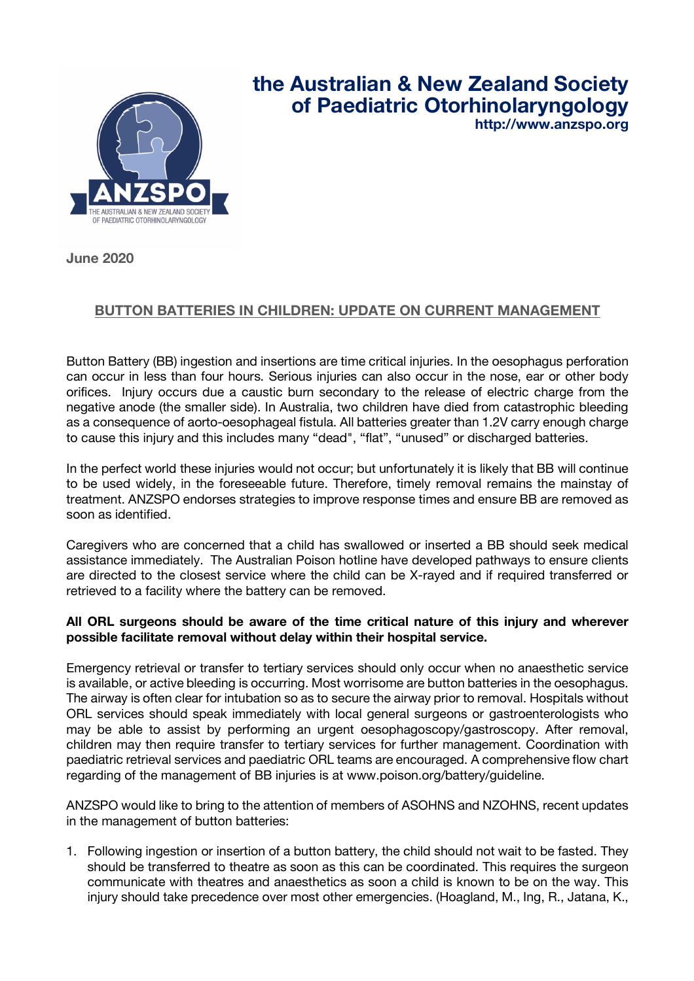

## **the Australian & New Zealand Society of Paediatric Otorhinolaryngology**

**http://www.anzspo.org**

**June 2020**

## **BUTTON BATTERIES IN CHILDREN: UPDATE ON CURRENT MANAGEMENT**

Button Battery (BB) ingestion and insertions are time critical injuries. In the oesophagus perforation can occur in less than four hours. Serious injuries can also occur in the nose, ear or other body orifices. Injury occurs due a caustic burn secondary to the release of electric charge from the negative anode (the smaller side). In Australia, two children have died from catastrophic bleeding as a consequence of aorto-oesophageal fistula. All batteries greater than 1.2V carry enough charge to cause this injury and this includes many "dead", "flat", "unused" or discharged batteries.

In the perfect world these injuries would not occur; but unfortunately it is likely that BB will continue to be used widely, in the foreseeable future. Therefore, timely removal remains the mainstay of treatment. ANZSPO endorses strategies to improve response times and ensure BB are removed as soon as identified.

Caregivers who are concerned that a child has swallowed or inserted a BB should seek medical assistance immediately. The Australian Poison hotline have developed pathways to ensure clients are directed to the closest service where the child can be X-rayed and if required transferred or retrieved to a facility where the battery can be removed.

## **All ORL surgeons should be aware of the time critical nature of this injury and wherever possible facilitate removal without delay within their hospital service.**

Emergency retrieval or transfer to tertiary services should only occur when no anaesthetic service is available, or active bleeding is occurring. Most worrisome are button batteries in the oesophagus. The airway is often clear for intubation so as to secure the airway prior to removal. Hospitals without ORL services should speak immediately with local general surgeons or gastroenterologists who may be able to assist by performing an urgent oesophagoscopy/gastroscopy. After removal, children may then require transfer to tertiary services for further management. Coordination with paediatric retrieval services and paediatric ORL teams are encouraged. A comprehensive flow chart regarding of the management of BB injuries is at www.poison.org/battery/guideline.

ANZSPO would like to bring to the attention of members of ASOHNS and NZOHNS, recent updates in the management of button batteries:

1. Following ingestion or insertion of a button battery, the child should not wait to be fasted. They should be transferred to theatre as soon as this can be coordinated. This requires the surgeon communicate with theatres and anaesthetics as soon a child is known to be on the way. This injury should take precedence over most other emergencies. (Hoagland, M., Ing, R., Jatana, K.,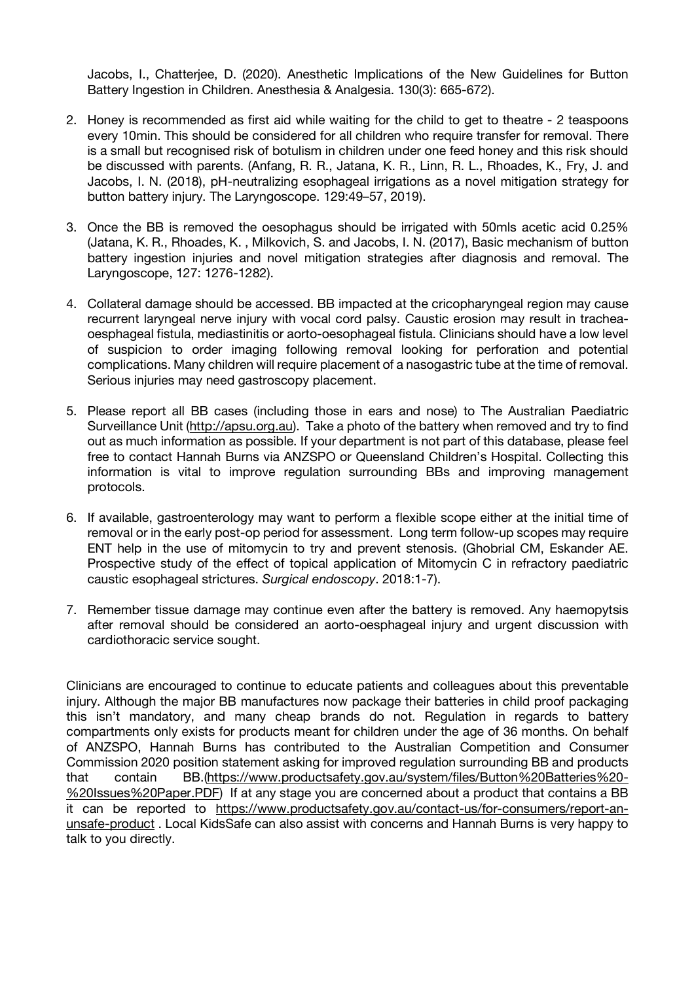Jacobs, I., Chatterjee, D. (2020). Anesthetic Implications of the New Guidelines for Button Battery Ingestion in Children. Anesthesia & Analgesia. 130(3): 665-672).

- 2. Honey is recommended as first aid while waiting for the child to get to theatre 2 teaspoons every 10min. This should be considered for all children who require transfer for removal. There is a small but recognised risk of botulism in children under one feed honey and this risk should be discussed with parents. (Anfang, R. R., Jatana, K. R., Linn, R. L., Rhoades, K., Fry, J. and Jacobs, I. N. (2018), pH‐neutralizing esophageal irrigations as a novel mitigation strategy for button battery injury. The Laryngoscope. 129:49–57, 2019).
- 3. Once the BB is removed the oesophagus should be irrigated with 50mls acetic acid 0.25% (Jatana, K. R., Rhoades, K. , Milkovich, S. and Jacobs, I. N. (2017), Basic mechanism of button battery ingestion injuries and novel mitigation strategies after diagnosis and removal. The Laryngoscope, 127: 1276-1282).
- 4. Collateral damage should be accessed. BB impacted at the cricopharyngeal region may cause recurrent laryngeal nerve injury with vocal cord palsy. Caustic erosion may result in tracheaoesphageal fistula, mediastinitis or aorto-oesophageal fistula. Clinicians should have a low level of suspicion to order imaging following removal looking for perforation and potential complications. Many children will require placement of a nasogastric tube at the time of removal. Serious injuries may need gastroscopy placement.
- 5. Please report all BB cases (including those in ears and nose) to The Australian Paediatric Surveillance Unit (http://apsu.org.au). Take a photo of the battery when removed and try to find out as much information as possible. If your department is not part of this database, please feel free to contact Hannah Burns via ANZSPO or Queensland Children's Hospital. Collecting this information is vital to improve regulation surrounding BBs and improving management protocols.
- 6. If available, gastroenterology may want to perform a flexible scope either at the initial time of removal or in the early post-op period for assessment. Long term follow-up scopes may require ENT help in the use of mitomycin to try and prevent stenosis. (Ghobrial CM, Eskander AE. Prospective study of the effect of topical application of Mitomycin C in refractory paediatric caustic esophageal strictures. *Surgical endoscopy*. 2018:1-7).
- 7. Remember tissue damage may continue even after the battery is removed. Any haemopytsis after removal should be considered an aorto-oesphageal injury and urgent discussion with cardiothoracic service sought.

Clinicians are encouraged to continue to educate patients and colleagues about this preventable injury. Although the major BB manufactures now package their batteries in child proof packaging this isn't mandatory, and many cheap brands do not. Regulation in regards to battery compartments only exists for products meant for children under the age of 36 months. On behalf of ANZSPO, Hannah Burns has contributed to the Australian Competition and Consumer Commission 2020 position statement asking for improved regulation surrounding BB and products that contain BB.(https://www.productsafety.gov.au/system/files/Button%20Batteries%20- %20Issues%20Paper.PDF) If at any stage you are concerned about a product that contains a BB it can be reported to https://www.productsafety.gov.au/contact-us/for-consumers/report-anunsafe-product . Local KidsSafe can also assist with concerns and Hannah Burns is very happy to talk to you directly.